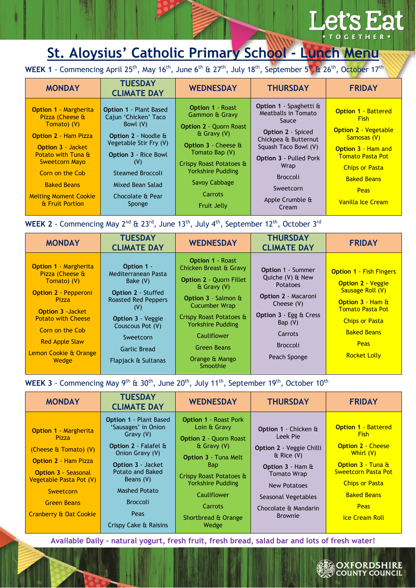## **L'at**

## **St. Aloysius' Catholic Primary School - Lunch Menu**

WEEK 1 - Commencing April 25<sup>th</sup>, May 16<sup>th</sup>, June 6<sup>th</sup> & 27<sup>th</sup>, July 18<sup>th</sup>, September 5<sup>th</sup> & 26<sup>th</sup>, October 17<sup>th</sup>

| <b>MONDAY</b>                                                                                                                                                                                                                                                        | <b>TUESDAY</b><br><b>CLIMATE DAY</b>                                                                                                                                                                                                             | <b>WEDNESDAY</b>                                                                                                                                                                                                                            | <b>THURSDAY</b>                                                                                                                                                                                                                                 | <b>FRIDAY</b>                                                                                                                                                                                                               |
|----------------------------------------------------------------------------------------------------------------------------------------------------------------------------------------------------------------------------------------------------------------------|--------------------------------------------------------------------------------------------------------------------------------------------------------------------------------------------------------------------------------------------------|---------------------------------------------------------------------------------------------------------------------------------------------------------------------------------------------------------------------------------------------|-------------------------------------------------------------------------------------------------------------------------------------------------------------------------------------------------------------------------------------------------|-----------------------------------------------------------------------------------------------------------------------------------------------------------------------------------------------------------------------------|
| <b>Option 1 - Margherita</b><br>Pizza (Cheese &<br>Tomato) (V)<br><b>Option 2 - Ham Pizza</b><br><b>Option 3 - Jacket</b><br>Potato with Tuna &<br><b>Sweetcorn Mayo</b><br>Corn on the Cob<br><b>Baked Beans</b><br><b>Melting Moment Cookie</b><br>& Fruit Portion | <b>Option 1 - Plant Based</b><br>Cajun 'Chicken' Taco<br>Bowl (V)<br><b>Option 2 - Noodle &amp;</b><br>Vegetable Stir Fry (V)<br><b>Option 3 - Rice Bowl</b><br>(V)<br><b>Steamed Broccoli</b><br>Mixed Bean Salad<br>Chocolate & Pear<br>Sponge | <b>Option 1 - Roast</b><br>Gammon & Gravy<br><b>Option 2 - Quorn Roast</b><br>& Gravy (V)<br>Option 3 - Cheese &<br>Tomato Bap (V)<br>Crispy Roast Potatoes &<br><b>Yorkshire Pudding</b><br>Savoy Cabbage<br>Carrots<br><b>Fruit Jelly</b> | <b>Option 1</b> - Spaghetti $\hat{a}$<br>Meatballs in Tomato<br>Sauce<br>Option 2 - Spiced<br>Chickpea & Butternut<br>Squash Taco Bowl (V)<br><b>Option 3 - Pulled Pork</b><br>Wrap<br><b>Broccoli</b><br>Sweetcorn<br>Apple Crumble &<br>Cream | <b>Option 1 - Battered</b><br><b>Fish</b><br><b>Option 2 - Vegetable</b><br>Samosas (V)<br><b>Option 3 - Ham and</b><br><b>Tomato Pasta Pot</b><br><b>Chips or Pasta</b><br><b>Baked Beans</b><br>Peas<br>Vanilla Ice Cream |

WEEK 2 - Commencing May 2<sup>nd</sup> & 23<sup>rd</sup>, June 13<sup>th</sup>, July 4<sup>th</sup>, September 12<sup>th</sup>, October 3<sup>rd</sup>

| <b>MONDAY</b>                                                                                                                                                                                               | <b>TUESDAY</b><br><b>CLIMATE DAY</b>                                                                                                                                  | <b>WEDNESDAY</b>                                                                                                                                                                                                        | <b>THURSDAY</b><br><b>CLIMATE DAY</b>                                                                                                                                            | <b>FRIDAY</b>                                                                                                                                                                               |
|-------------------------------------------------------------------------------------------------------------------------------------------------------------------------------------------------------------|-----------------------------------------------------------------------------------------------------------------------------------------------------------------------|-------------------------------------------------------------------------------------------------------------------------------------------------------------------------------------------------------------------------|----------------------------------------------------------------------------------------------------------------------------------------------------------------------------------|---------------------------------------------------------------------------------------------------------------------------------------------------------------------------------------------|
| <b>Option 1 - Margherita</b><br>Pizza (Cheese &<br>Tomato) (V)<br><b>Option 2 - Pepperoni</b><br>Pizza<br><b>Option 3 - Jacket</b><br><b>Potato with Cheese</b><br>Corn on the Cob<br><b>Red Apple Slaw</b> | Option 1 -<br>Mediterranean Pasta<br>Bake (V)<br><b>Option 2 - Stuffed</b><br><b>Roasted Red Peppers</b><br>(V)<br>Option 3 - Veggie<br>Couscous Pot (V)<br>Sweetcorn | <b>Option 1 - Roast</b><br>Chicken Breast & Gravy<br><b>Option 2 - Quorn Fillet</b><br>& Gravy (V)<br>Option 3 - Salmon &<br><b>Cucumber Wrap</b><br>Crispy Roast Potatoes &<br><b>Yorkshire Pudding</b><br>Cauliflower | <b>Option 1 - Summer</b><br>Quiche (V) & New<br><b>Potatoes</b><br><b>Option 2 - Macaroni</b><br>Cheese (V)<br>Option 3 - Egg & Cress<br>Bap $(V)$<br>Carrots<br><b>Broccoli</b> | <b>Option 1 - Fish Fingers</b><br><b>Option 2 - Veggie</b><br>Sausage Roll (V)<br>Option 3 - Ham &<br><b>Tomato Pasta Pot</b><br><b>Chips or Pasta</b><br><b>Baked Beans</b><br><b>Peas</b> |
| Lemon Cookie & Orange<br>Wedge                                                                                                                                                                              | <b>Garlic Bread</b><br>Flapjack & Sultanas                                                                                                                            | Green Beans<br>Orange & Mango<br>Smoothie                                                                                                                                                                               | Peach Sponge                                                                                                                                                                     | <b>Rocket Lolly</b>                                                                                                                                                                         |

WEEK 3 - Commencing May 9<sup>th</sup> & 30<sup>th</sup>, June 20<sup>th</sup>, July 11<sup>th</sup>, September 19<sup>th</sup>, October 10<sup>th</sup>

| <b>MONDAY</b>                                                                                                                                                       | <b>TUESDAY</b><br><b>CLIMATE DAY</b>                                                                                                                                                                                | <b>WEDNESDAY</b>                                                                                                                                                                                    | <b>THURSDAY</b>                                                                                                                                | <b>FRIDAY</b>                                                                                                                                                  |
|---------------------------------------------------------------------------------------------------------------------------------------------------------------------|---------------------------------------------------------------------------------------------------------------------------------------------------------------------------------------------------------------------|-----------------------------------------------------------------------------------------------------------------------------------------------------------------------------------------------------|------------------------------------------------------------------------------------------------------------------------------------------------|----------------------------------------------------------------------------------------------------------------------------------------------------------------|
| <b>Option 1 - Margherita</b><br>Pizza<br>(Cheese & Tomato) (V)<br><b>Option 2 - Ham Pizza</b><br><b>Option 3 - Seasonal</b><br>Vegetable Pasta Pot (V)<br>Sweetcorn | <b>Option 1 - Plant Based</b><br>'Sausages' in Onion<br>Gravy (V)<br><b>Option 2 - Falafel &amp;</b><br>Onion Gravy (V)<br><b>Option 3 - Jacket</b><br><b>Potato and Baked</b><br>Beans (V)<br><b>Mashed Potato</b> | <b>Option 1 - Roast Pork</b><br>Loin & Gravy<br><b>Option 2 - Quorn Roast</b><br>$\&$ Gravy (V)<br><b>Option 3 - Tuna Melt</b><br><b>Bap</b><br>Crispy Roast Potatoes &<br><b>Yorkshire Pudding</b> | Option 1 - Chicken &<br>Leek Pie<br>Option 2 - Veggie Chilli<br>$\&$ Rice (V)<br>Option 3 - Ham &<br><b>Tomato Wrap</b><br><b>New Potatoes</b> | <b>Option 1 - Battered</b><br><b>Fish</b><br><b>Option 2 - Cheese</b><br>Whirl (V)<br>Option 3 - Tuna &<br><b>Sweetcorn Pasta Pot</b><br><b>Chips or Pasta</b> |
| <b>Green Beans</b>                                                                                                                                                  | <b>Broccoli</b>                                                                                                                                                                                                     | <b>Cauliflower</b><br>Carrots                                                                                                                                                                       | Seasonal Vegetables<br>Chocolate & Mandarin                                                                                                    | <b>Baked Beans</b><br><b>Peas</b>                                                                                                                              |
| <b>Cranberry &amp; Oat Cookie</b>                                                                                                                                   | Peas<br>Crispy Cake & Raisins                                                                                                                                                                                       | Shortbread & Orange<br>Wedge                                                                                                                                                                        | <b>Brownie</b>                                                                                                                                 | <b>Ice Cream Roll</b>                                                                                                                                          |

**Available Daily - natural yogurt, fresh fruit, fresh bread, salad bar and lots of fresh water!**